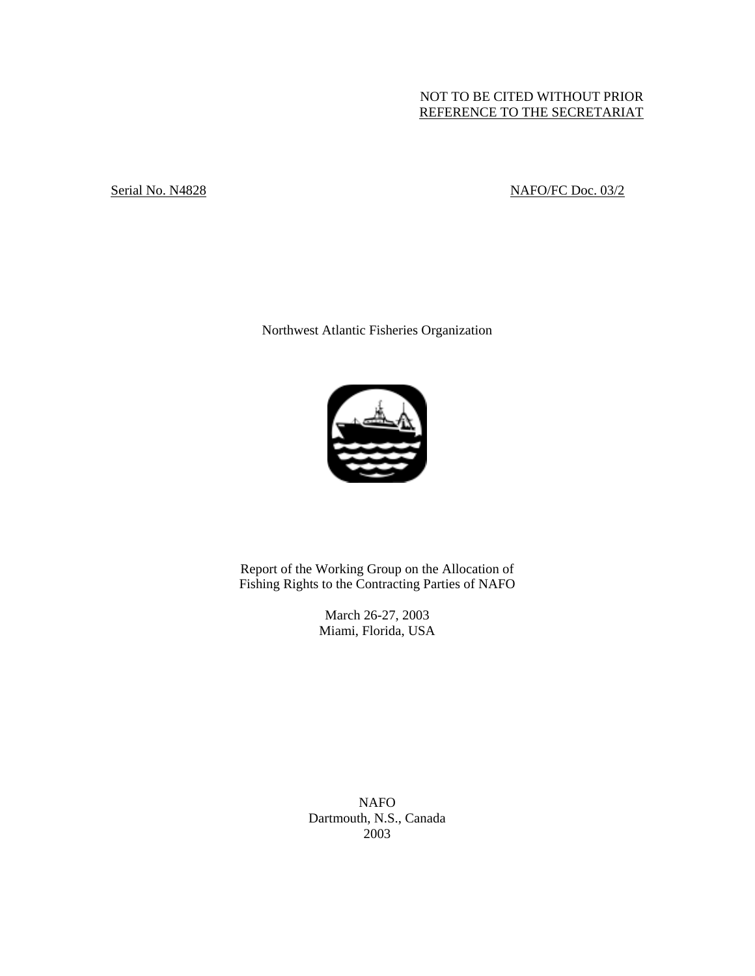# NOT TO BE CITED WITHOUT PRIOR REFERENCE TO THE SECRETARIAT

# Serial No. N4828 NAFO/FC Doc. 03/2

Northwest Atlantic Fisheries Organization



Report of the Working Group on the Allocation of Fishing Rights to the Contracting Parties of NAFO

> March 26-27, 2003 Miami, Florida, USA

NAFO Dartmouth, N.S., Canada 2003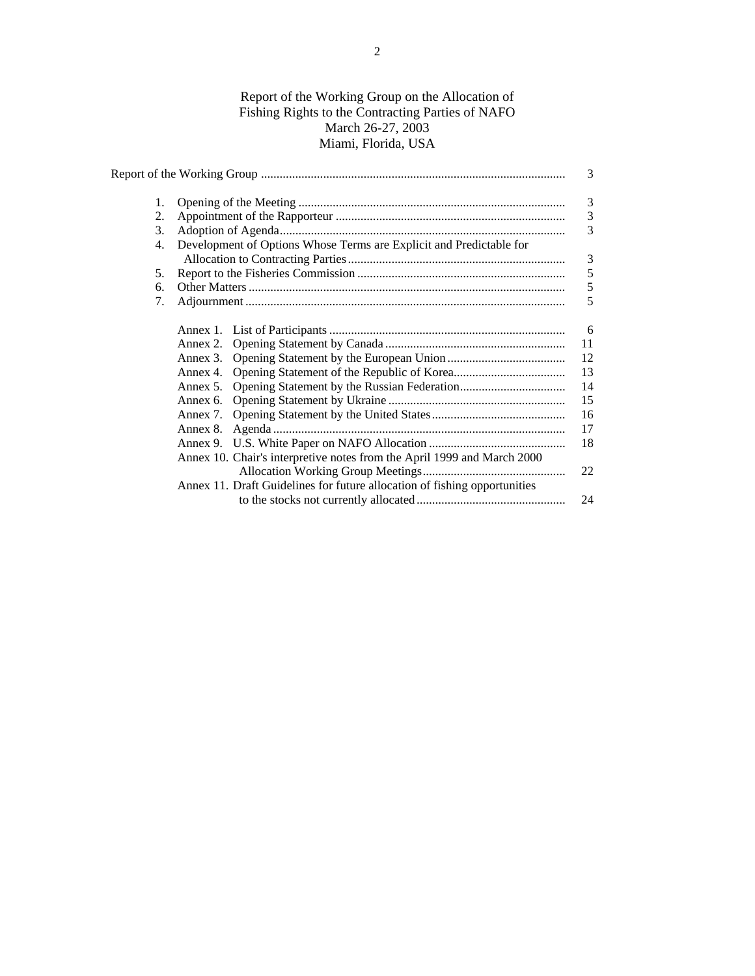# Report of the Working Group on the Allocation of Fishing Rights to the Contracting Parties of NAFO March 26-27, 2003 Miami, Florida, USA

|    |                                                                           | 3  |
|----|---------------------------------------------------------------------------|----|
| 1. |                                                                           | 3  |
| 2. |                                                                           | 3  |
| 3. |                                                                           | 3  |
| 4. | Development of Options Whose Terms are Explicit and Predictable for       | 3  |
|    |                                                                           |    |
| 5. |                                                                           | 5  |
| б. |                                                                           | 5  |
| 7. |                                                                           | 5  |
|    |                                                                           | 6  |
|    |                                                                           | 11 |
|    |                                                                           | 12 |
|    |                                                                           | 13 |
|    |                                                                           | 14 |
|    |                                                                           | 15 |
|    |                                                                           | 16 |
|    |                                                                           | 17 |
|    |                                                                           | 18 |
|    | Annex 10. Chair's interpretive notes from the April 1999 and March 2000   |    |
|    |                                                                           | 22 |
|    | Annex 11. Draft Guidelines for future allocation of fishing opportunities |    |
|    |                                                                           | 24 |
|    |                                                                           |    |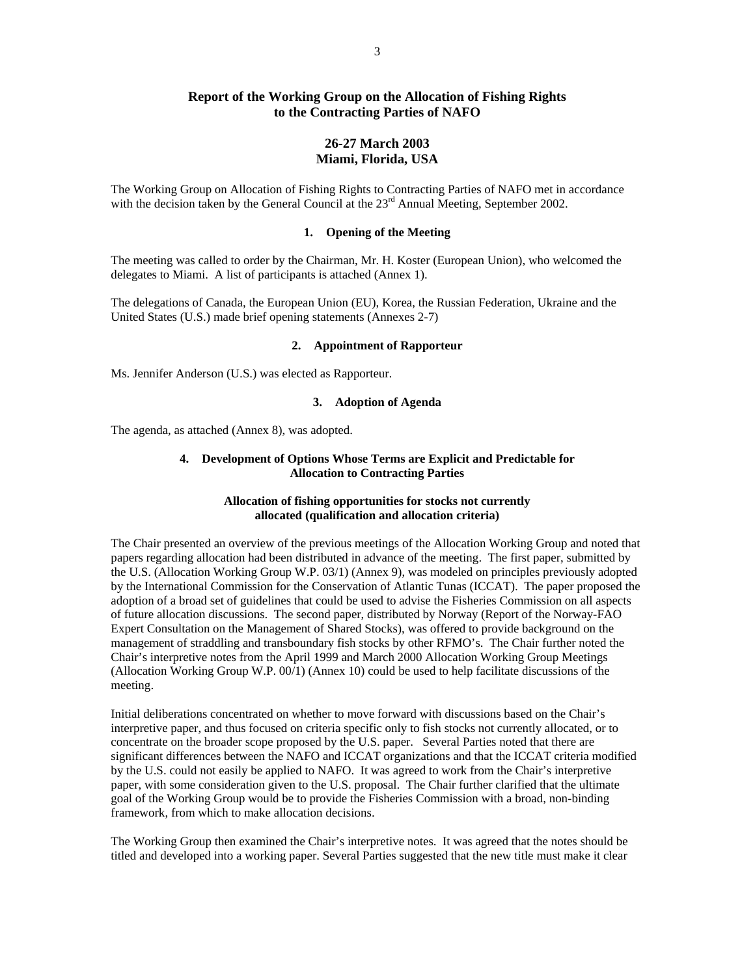## **Report of the Working Group on the Allocation of Fishing Rights to the Contracting Parties of NAFO**

## **26-27 March 2003 Miami, Florida, USA**

The Working Group on Allocation of Fishing Rights to Contracting Parties of NAFO met in accordance with the decision taken by the General Council at the  $23<sup>rd</sup>$  Annual Meeting, September 2002.

## **1. Opening of the Meeting**

The meeting was called to order by the Chairman, Mr. H. Koster (European Union), who welcomed the delegates to Miami. A list of participants is attached (Annex 1).

The delegations of Canada, the European Union (EU), Korea, the Russian Federation, Ukraine and the United States (U.S.) made brief opening statements (Annexes 2-7)

## **2. Appointment of Rapporteur**

Ms. Jennifer Anderson (U.S.) was elected as Rapporteur.

### **3. Adoption of Agenda**

The agenda, as attached (Annex 8), was adopted.

## **4. Development of Options Whose Terms are Explicit and Predictable for Allocation to Contracting Parties**

## **Allocation of fishing opportunities for stocks not currently allocated (qualification and allocation criteria)**

The Chair presented an overview of the previous meetings of the Allocation Working Group and noted that papers regarding allocation had been distributed in advance of the meeting. The first paper, submitted by the U.S. (Allocation Working Group W.P. 03/1) (Annex 9), was modeled on principles previously adopted by the International Commission for the Conservation of Atlantic Tunas (ICCAT). The paper proposed the adoption of a broad set of guidelines that could be used to advise the Fisheries Commission on all aspects of future allocation discussions. The second paper, distributed by Norway (Report of the Norway-FAO Expert Consultation on the Management of Shared Stocks), was offered to provide background on the management of straddling and transboundary fish stocks by other RFMO's. The Chair further noted the Chair's interpretive notes from the April 1999 and March 2000 Allocation Working Group Meetings (Allocation Working Group W.P. 00/1) (Annex 10) could be used to help facilitate discussions of the meeting.

Initial deliberations concentrated on whether to move forward with discussions based on the Chair's interpretive paper, and thus focused on criteria specific only to fish stocks not currently allocated, or to concentrate on the broader scope proposed by the U.S. paper. Several Parties noted that there are significant differences between the NAFO and ICCAT organizations and that the ICCAT criteria modified by the U.S. could not easily be applied to NAFO. It was agreed to work from the Chair's interpretive paper, with some consideration given to the U.S. proposal. The Chair further clarified that the ultimate goal of the Working Group would be to provide the Fisheries Commission with a broad, non-binding framework, from which to make allocation decisions.

The Working Group then examined the Chair's interpretive notes. It was agreed that the notes should be titled and developed into a working paper. Several Parties suggested that the new title must make it clear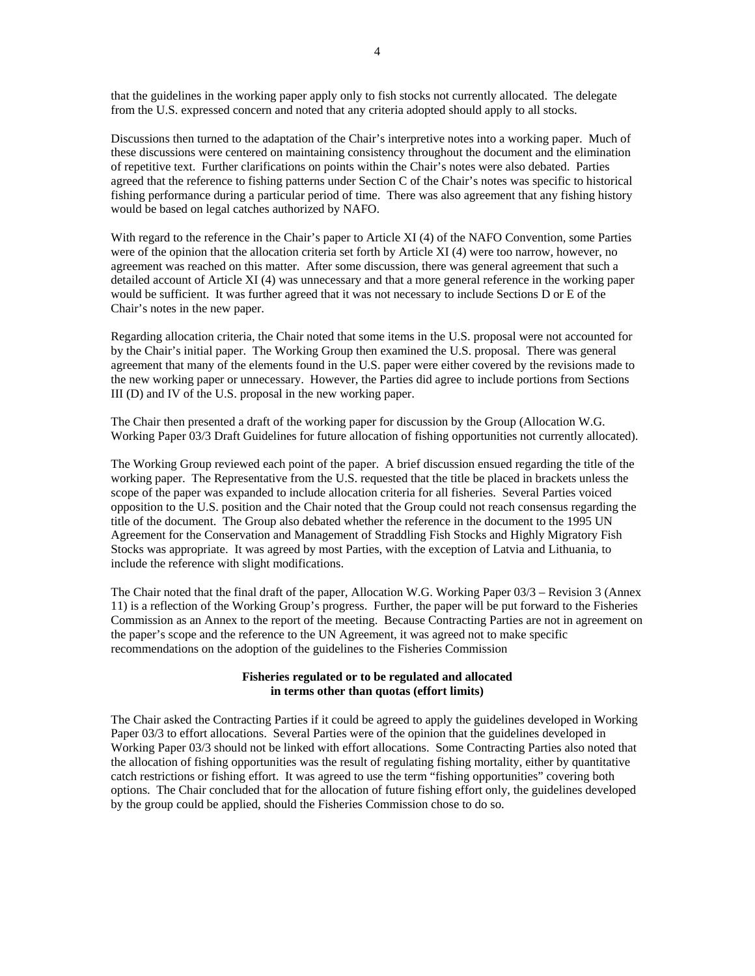that the guidelines in the working paper apply only to fish stocks not currently allocated. The delegate from the U.S. expressed concern and noted that any criteria adopted should apply to all stocks.

Discussions then turned to the adaptation of the Chair's interpretive notes into a working paper. Much of these discussions were centered on maintaining consistency throughout the document and the elimination of repetitive text. Further clarifications on points within the Chair's notes were also debated. Parties agreed that the reference to fishing patterns under Section C of the Chair's notes was specific to historical fishing performance during a particular period of time. There was also agreement that any fishing history would be based on legal catches authorized by NAFO.

With regard to the reference in the Chair's paper to Article XI (4) of the NAFO Convention, some Parties were of the opinion that the allocation criteria set forth by Article XI (4) were too narrow, however, no agreement was reached on this matter. After some discussion, there was general agreement that such a detailed account of Article XI (4) was unnecessary and that a more general reference in the working paper would be sufficient. It was further agreed that it was not necessary to include Sections D or E of the Chair's notes in the new paper.

Regarding allocation criteria, the Chair noted that some items in the U.S. proposal were not accounted for by the Chair's initial paper. The Working Group then examined the U.S. proposal. There was general agreement that many of the elements found in the U.S. paper were either covered by the revisions made to the new working paper or unnecessary. However, the Parties did agree to include portions from Sections III (D) and IV of the U.S. proposal in the new working paper.

The Chair then presented a draft of the working paper for discussion by the Group (Allocation W.G. Working Paper 03/3 Draft Guidelines for future allocation of fishing opportunities not currently allocated).

The Working Group reviewed each point of the paper. A brief discussion ensued regarding the title of the working paper. The Representative from the U.S. requested that the title be placed in brackets unless the scope of the paper was expanded to include allocation criteria for all fisheries. Several Parties voiced opposition to the U.S. position and the Chair noted that the Group could not reach consensus regarding the title of the document. The Group also debated whether the reference in the document to the 1995 UN Agreement for the Conservation and Management of Straddling Fish Stocks and Highly Migratory Fish Stocks was appropriate. It was agreed by most Parties, with the exception of Latvia and Lithuania, to include the reference with slight modifications.

The Chair noted that the final draft of the paper, Allocation W.G. Working Paper 03/3 – Revision 3 (Annex 11) is a reflection of the Working Group's progress. Further, the paper will be put forward to the Fisheries Commission as an Annex to the report of the meeting. Because Contracting Parties are not in agreement on the paper's scope and the reference to the UN Agreement, it was agreed not to make specific recommendations on the adoption of the guidelines to the Fisheries Commission

## **Fisheries regulated or to be regulated and allocated in terms other than quotas (effort limits)**

The Chair asked the Contracting Parties if it could be agreed to apply the guidelines developed in Working Paper 03/3 to effort allocations. Several Parties were of the opinion that the guidelines developed in Working Paper 03/3 should not be linked with effort allocations. Some Contracting Parties also noted that the allocation of fishing opportunities was the result of regulating fishing mortality, either by quantitative catch restrictions or fishing effort. It was agreed to use the term "fishing opportunities" covering both options. The Chair concluded that for the allocation of future fishing effort only, the guidelines developed by the group could be applied, should the Fisheries Commission chose to do so.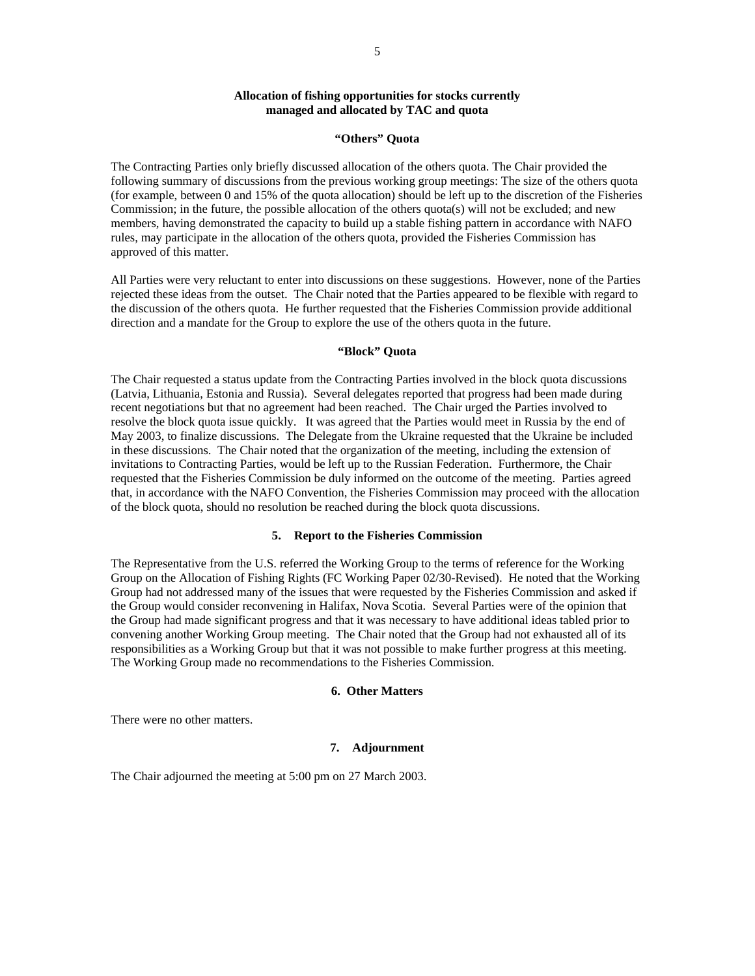## **Allocation of fishing opportunities for stocks currently managed and allocated by TAC and quota**

#### **"Others" Quota**

The Contracting Parties only briefly discussed allocation of the others quota. The Chair provided the following summary of discussions from the previous working group meetings: The size of the others quota (for example, between 0 and 15% of the quota allocation) should be left up to the discretion of the Fisheries Commission; in the future, the possible allocation of the others quota(s) will not be excluded; and new members, having demonstrated the capacity to build up a stable fishing pattern in accordance with NAFO rules, may participate in the allocation of the others quota, provided the Fisheries Commission has approved of this matter.

All Parties were very reluctant to enter into discussions on these suggestions. However, none of the Parties rejected these ideas from the outset. The Chair noted that the Parties appeared to be flexible with regard to the discussion of the others quota. He further requested that the Fisheries Commission provide additional direction and a mandate for the Group to explore the use of the others quota in the future.

#### **"Block" Quota**

The Chair requested a status update from the Contracting Parties involved in the block quota discussions (Latvia, Lithuania, Estonia and Russia). Several delegates reported that progress had been made during recent negotiations but that no agreement had been reached. The Chair urged the Parties involved to resolve the block quota issue quickly. It was agreed that the Parties would meet in Russia by the end of May 2003, to finalize discussions. The Delegate from the Ukraine requested that the Ukraine be included in these discussions. The Chair noted that the organization of the meeting, including the extension of invitations to Contracting Parties, would be left up to the Russian Federation. Furthermore, the Chair requested that the Fisheries Commission be duly informed on the outcome of the meeting. Parties agreed that, in accordance with the NAFO Convention, the Fisheries Commission may proceed with the allocation of the block quota, should no resolution be reached during the block quota discussions.

#### **5. Report to the Fisheries Commission**

The Representative from the U.S. referred the Working Group to the terms of reference for the Working Group on the Allocation of Fishing Rights (FC Working Paper 02/30-Revised). He noted that the Working Group had not addressed many of the issues that were requested by the Fisheries Commission and asked if the Group would consider reconvening in Halifax, Nova Scotia. Several Parties were of the opinion that the Group had made significant progress and that it was necessary to have additional ideas tabled prior to convening another Working Group meeting. The Chair noted that the Group had not exhausted all of its responsibilities as a Working Group but that it was not possible to make further progress at this meeting. The Working Group made no recommendations to the Fisheries Commission.

## **6. Other Matters**

There were no other matters.

#### **7. Adjournment**

The Chair adjourned the meeting at 5:00 pm on 27 March 2003.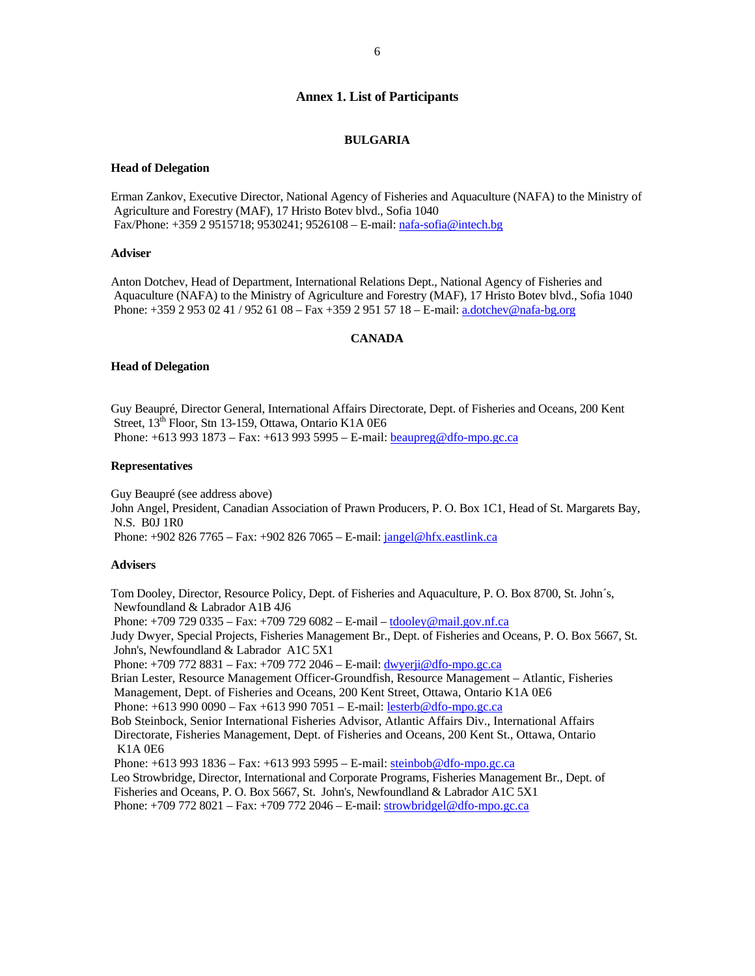## **Annex 1. List of Participants**

#### **BULGARIA**

#### **Head of Delegation**

Erman Zankov, Executive Director, National Agency of Fisheries and Aquaculture (NAFA) to the Ministry of Agriculture and Forestry (MAF), 17 Hristo Botev blvd., Sofia 1040 Fax/Phone: +359 2 9515718; 9530241; 9526108 – E-mail: nafa-sofia@intech.bg

#### **Adviser**

Anton Dotchev, Head of Department, International Relations Dept., National Agency of Fisheries and Aquaculture (NAFA) to the Ministry of Agriculture and Forestry (MAF), 17 Hristo Botev blvd., Sofia 1040 Phone: +359 2 953 02 41 / 952 61 08 – Fax +359 2 951 57 18 – E-mail: a.dotchev@nafa-bg.org

## **CANADA**

#### **Head of Delegation**

Guy Beaupré, Director General, International Affairs Directorate, Dept. of Fisheries and Oceans, 200 Kent Street, 13<sup>th</sup> Floor, Stn 13-159, Ottawa, Ontario K1A 0E6 Phone: +613 993 1873 – Fax: +613 993 5995 – E-mail: beaupreg@dfo-mpo.gc.ca

## **Representatives**

Guy Beaupré (see address above) John Angel, President, Canadian Association of Prawn Producers, P. O. Box 1C1, Head of St. Margarets Bay, N.S. B0J 1R0 Phone: +902 826 7765 – Fax: +902 826 7065 – E-mail: jangel@hfx.eastlink.ca

#### **Advisers**

Tom Dooley, Director, Resource Policy, Dept. of Fisheries and Aquaculture, P. O. Box 8700, St. John´s, Newfoundland & Labrador A1B 4J6 Phone: +709 729 0335 – Fax: +709 729 6082 – E-mail – tdooley@mail.gov.nf.ca Judy Dwyer, Special Projects, Fisheries Management Br., Dept. of Fisheries and Oceans, P. O. Box 5667, St. John's, Newfoundland & Labrador A1C 5X1 Phone: +709 772 8831 – Fax: +709 772 2046 – E-mail: dwyerji@dfo-mpo.gc.ca Brian Lester, Resource Management Officer-Groundfish, Resource Management – Atlantic, Fisheries Management, Dept. of Fisheries and Oceans, 200 Kent Street, Ottawa, Ontario K1A 0E6 Phone: +613 990 0090 – Fax +613 990 7051 – E-mail: lesterb@dfo-mpo.gc.ca Bob Steinbock, Senior International Fisheries Advisor, Atlantic Affairs Div., International Affairs Directorate, Fisheries Management, Dept. of Fisheries and Oceans, 200 Kent St., Ottawa, Ontario K1A 0E6 Phone: +613 993 1836 – Fax: +613 993 5995 – E-mail: steinbob@dfo-mpo.gc.ca Leo Strowbridge, Director, International and Corporate Programs, Fisheries Management Br., Dept. of Fisheries and Oceans, P. O. Box 5667, St. John's, Newfoundland & Labrador A1C 5X1 Phone: +709 772 8021 – Fax: +709 772 2046 – E-mail: strowbridgel@dfo-mpo.gc.ca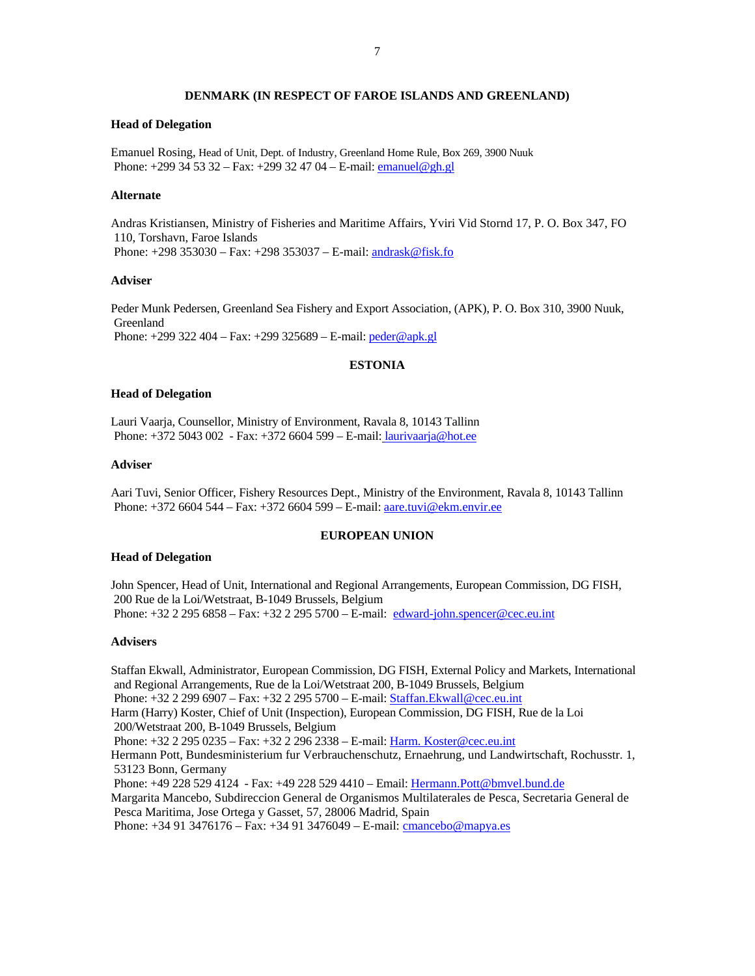## **DENMARK (IN RESPECT OF FAROE ISLANDS AND GREENLAND)**

#### **Head of Delegation**

Emanuel Rosing, Head of Unit, Dept. of Industry, Greenland Home Rule, Box 269, 3900 Nuuk Phone: +299 34 53 32 – Fax: +299 32 47 04 – E-mail: emanuel@gh.gl

## **Alternate**

Andras Kristiansen, Ministry of Fisheries and Maritime Affairs, Yviri Vid Stornd 17, P. O. Box 347, FO 110, Torshavn, Faroe Islands Phone: +298 353030 – Fax: +298 353037 – E-mail: andrask@fisk.fo

#### **Adviser**

Peder Munk Pedersen, Greenland Sea Fishery and Export Association, (APK), P. O. Box 310, 3900 Nuuk, Greenland Phone: +299 322 404 – Fax: +299 325689 – E-mail: peder@apk.gl

## **ESTONIA**

#### **Head of Delegation**

Lauri Vaarja, Counsellor, Ministry of Environment, Ravala 8, 10143 Tallinn Phone: +372 5043 002 - Fax: +372 6604 599 – E-mail: laurivaarja@hot.ee

#### **Adviser**

Aari Tuvi, Senior Officer, Fishery Resources Dept., Ministry of the Environment, Ravala 8, 10143 Tallinn Phone: +372 6604 544 – Fax: +372 6604 599 – E-mail: aare.tuvi@ekm.envir.ee

## **EUROPEAN UNION**

#### **Head of Delegation**

John Spencer, Head of Unit, International and Regional Arrangements, European Commission, DG FISH, 200 Rue de la Loi/Wetstraat, B-1049 Brussels, Belgium Phone: +32 2 295 6858 – Fax: +32 2 295 5700 – E-mail: edward-john.spencer@cec.eu.int

#### **Advisers**

Staffan Ekwall, Administrator, European Commission, DG FISH, External Policy and Markets, International and Regional Arrangements, Rue de la Loi/Wetstraat 200, B-1049 Brussels, Belgium Phone: +32 2 299 6907 – Fax: +32 2 295 5700 – E-mail: Staffan.Ekwall@cec.eu.int Harm (Harry) Koster, Chief of Unit (Inspection), European Commission, DG FISH, Rue de la Loi 200/Wetstraat 200, B-1049 Brussels, Belgium Phone: +32 2 295 0235 – Fax: +32 2 296 2338 – E-mail: Harm. Koster@cec.eu.int Hermann Pott, Bundesministerium fur Verbrauchenschutz, Ernaehrung, und Landwirtschaft, Rochusstr. 1, 53123 Bonn, Germany Phone: +49 228 529 4124 - Fax: +49 228 529 4410 – Email: Hermann.Pott@bmvel.bund.de Margarita Mancebo, Subdireccion General de Organismos Multilaterales de Pesca, Secretaria General de Pesca Maritima, Jose Ortega y Gasset, 57, 28006 Madrid, Spain Phone: +34 91 3476176 – Fax: +34 91 3476049 – E-mail: cmancebo@mapya.es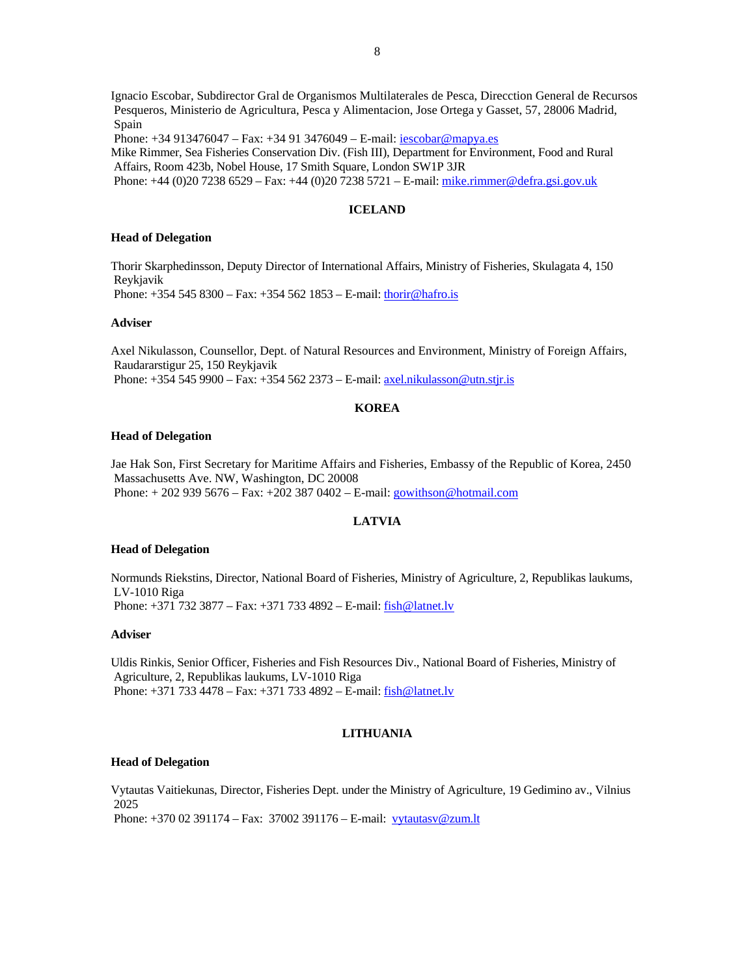Ignacio Escobar, Subdirector Gral de Organismos Multilaterales de Pesca, Direcction General de Recursos Pesqueros, Ministerio de Agricultura, Pesca y Alimentacion, Jose Ortega y Gasset, 57, 28006 Madrid, Spain

Phone: +34 913476047 – Fax: +34 91 3476049 – E-mail: iescobar@mapya.es

Mike Rimmer, Sea Fisheries Conservation Div. (Fish III), Department for Environment, Food and Rural Affairs, Room 423b, Nobel House, 17 Smith Square, London SW1P 3JR Phone: +44 (0)20 7238 6529 – Fax: +44 (0)20 7238 5721 – E-mail: mike.rimmer@defra.gsi.gov.uk

## **ICELAND**

## **Head of Delegation**

Thorir Skarphedinsson, Deputy Director of International Affairs, Ministry of Fisheries, Skulagata 4, 150 Reykjavik

Phone: +354 545 8300 – Fax: +354 562 1853 – E-mail: thorir@hafro.is

#### **Adviser**

Axel Nikulasson, Counsellor, Dept. of Natural Resources and Environment, Ministry of Foreign Affairs, Raudararstigur 25, 150 Reykjavik Phone: +354 545 9900 – Fax: +354 562 2373 – E-mail: axel.nikulasson@utn.stjr.is

## **KOREA**

#### **Head of Delegation**

Jae Hak Son, First Secretary for Maritime Affairs and Fisheries, Embassy of the Republic of Korea, 2450 Massachusetts Ave. NW, Washington, DC 20008 Phone: + 202 939 5676 – Fax: +202 387 0402 – E-mail: gowithson@hotmail.com

## **LATVIA**

#### **Head of Delegation**

Normunds Riekstins, Director, National Board of Fisheries, Ministry of Agriculture, 2, Republikas laukums, LV-1010 Riga Phone: +371 732 3877 – Fax: +371 733 4892 – E-mail: fish@latnet.lv

#### **Adviser**

Uldis Rinkis, Senior Officer, Fisheries and Fish Resources Div., National Board of Fisheries, Ministry of Agriculture, 2, Republikas laukums, LV-1010 Riga Phone: +371 733 4478 – Fax: +371 733 4892 – E-mail: fish@latnet.lv

## **LITHUANIA**

#### **Head of Delegation**

Vytautas Vaitiekunas, Director, Fisheries Dept. under the Ministry of Agriculture, 19 Gedimino av., Vilnius 2025 Phone: +370 02 391174 – Fax: 37002 391176 – E-mail: vytautasv@zum.lt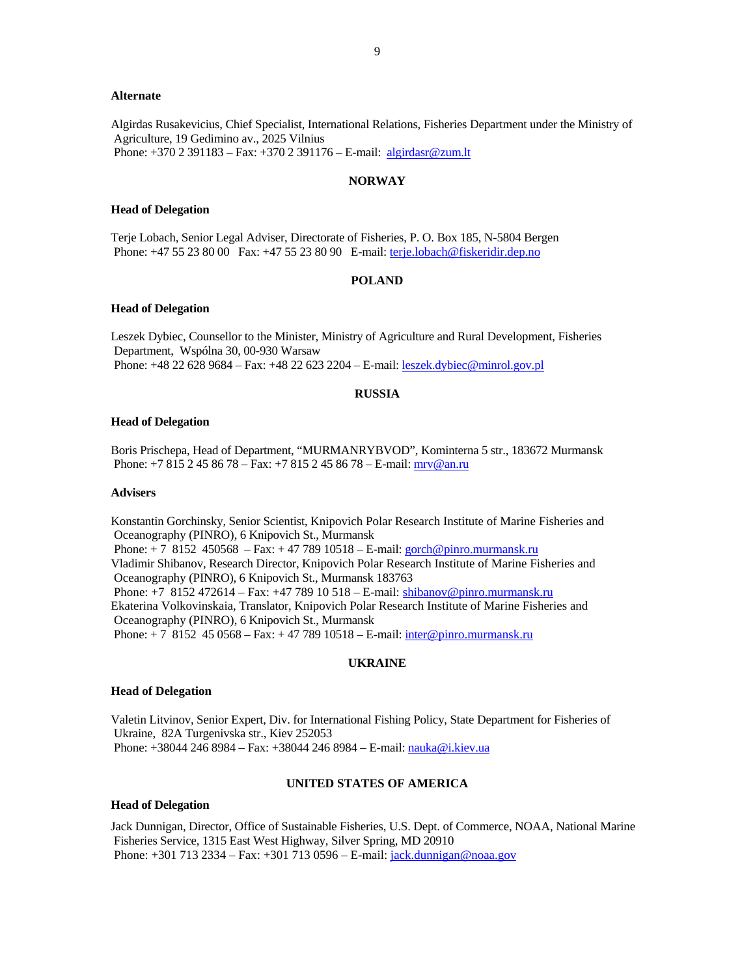#### **Alternate**

Algirdas Rusakevicius, Chief Specialist, International Relations, Fisheries Department under the Ministry of Agriculture, 19 Gedimino av., 2025 Vilnius Phone: +370 2 391183 – Fax: +370 2 391176 – E-mail: algirdasr@zum.lt

#### **NORWAY**

#### **Head of Delegation**

Terje Lobach, Senior Legal Adviser, Directorate of Fisheries, P. O. Box 185, N-5804 Bergen Phone: +47 55 23 80 00 Fax: +47 55 23 80 90 E-mail: terje.lobach@fiskeridir.dep.no

#### **POLAND**

#### **Head of Delegation**

Leszek Dybiec, Counsellor to the Minister, Ministry of Agriculture and Rural Development, Fisheries Department, Wspólna 30, 00-930 Warsaw Phone: +48 22 628 9684 – Fax: +48 22 623 2204 – E-mail: leszek.dybiec@minrol.gov.pl

#### **RUSSIA**

#### **Head of Delegation**

Boris Prischepa, Head of Department, "MURMANRYBVOD", Kominterna 5 str., 183672 Murmansk Phone: +7 815 2 45 86 78 – Fax: +7 815 2 45 86 78 – E-mail: mrv@an.ru

#### **Advisers**

Konstantin Gorchinsky, Senior Scientist, Knipovich Polar Research Institute of Marine Fisheries and Oceanography (PINRO), 6 Knipovich St., Murmansk Phone: + 7 8152 450568 – Fax: + 47 789 10518 – E-mail: gorch@pinro.murmansk.ru Vladimir Shibanov, Research Director, Knipovich Polar Research Institute of Marine Fisheries and Oceanography (PINRO), 6 Knipovich St., Murmansk 183763 Phone: +7 8152 472614 – Fax: +47 789 10 518 – E-mail: shibanov@pinro.murmansk.ru Ekaterina Volkovinskaia, Translator, Knipovich Polar Research Institute of Marine Fisheries and Oceanography (PINRO), 6 Knipovich St., Murmansk Phone: + 7 8152 45 0568 – Fax: + 47 789 10518 – E-mail: inter@pinro.murmansk.ru

#### **UKRAINE**

#### **Head of Delegation**

Valetin Litvinov, Senior Expert, Div. for International Fishing Policy, State Department for Fisheries of Ukraine, 82A Turgenivska str., Kiev 252053 Phone: +38044 246 8984 – Fax: +38044 246 8984 – E-mail: nauka@i.kiev.ua

#### **UNITED STATES OF AMERICA**

#### **Head of Delegation**

Jack Dunnigan, Director, Office of Sustainable Fisheries, U.S. Dept. of Commerce, NOAA, National Marine Fisheries Service, 1315 East West Highway, Silver Spring, MD 20910 Phone: +301 713 2334 – Fax: +301 713 0596 – E-mail: jack.dunnigan@noaa.gov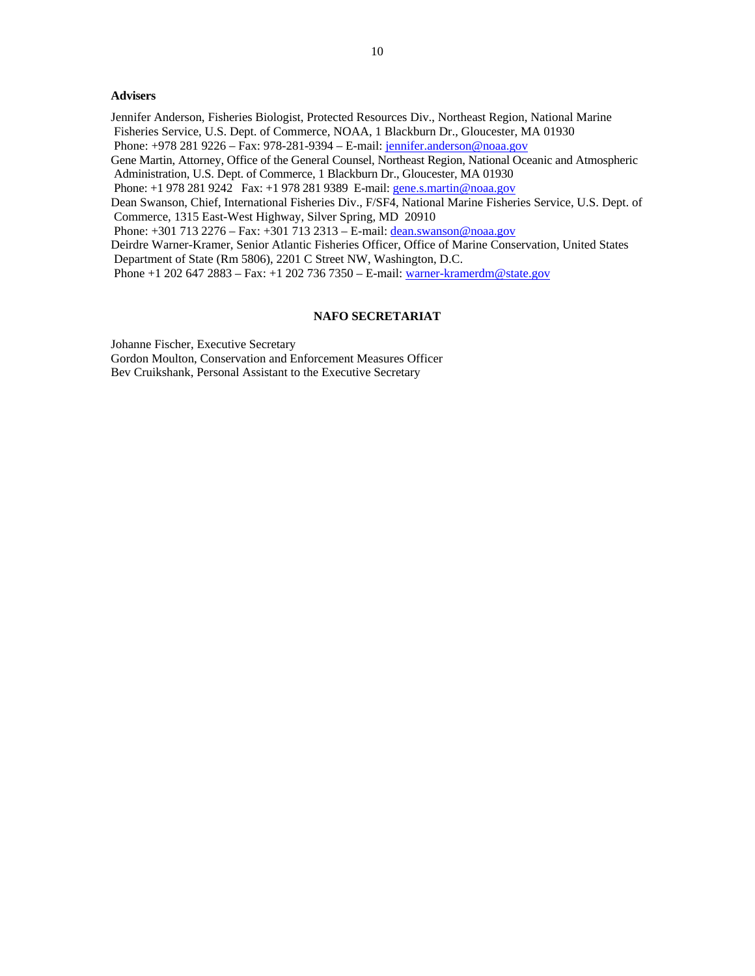## **Advisers**

Jennifer Anderson, Fisheries Biologist, Protected Resources Div., Northeast Region, National Marine Fisheries Service, U.S. Dept. of Commerce, NOAA, 1 Blackburn Dr., Gloucester, MA 01930

Phone: +978 281 9226 – Fax: 978-281-9394 – E-mail: jennifer.anderson@noaa.gov

Gene Martin, Attorney, Office of the General Counsel, Northeast Region, National Oceanic and Atmospheric Administration, U.S. Dept. of Commerce, 1 Blackburn Dr., Gloucester, MA 01930

Phone: +1 978 281 9242 Fax: +1 978 281 9389 E-mail: gene.s.martin@noaa.gov

Dean Swanson, Chief, International Fisheries Div., F/SF4, National Marine Fisheries Service, U.S. Dept. of Commerce, 1315 East-West Highway, Silver Spring, MD 20910

Phone: +301 713 2276 – Fax: +301 713 2313 – E-mail: dean.swanson@noaa.gov

Deirdre Warner-Kramer, Senior Atlantic Fisheries Officer, Office of Marine Conservation, United States Department of State (Rm 5806), 2201 C Street NW, Washington, D.C.

Phone +1 202 647 2883 – Fax: +1 202 736 7350 – E-mail: warner-kramerdm@state.gov

### **NAFO SECRETARIAT**

Johanne Fischer, Executive Secretary

Gordon Moulton, Conservation and Enforcement Measures Officer Bev Cruikshank, Personal Assistant to the Executive Secretary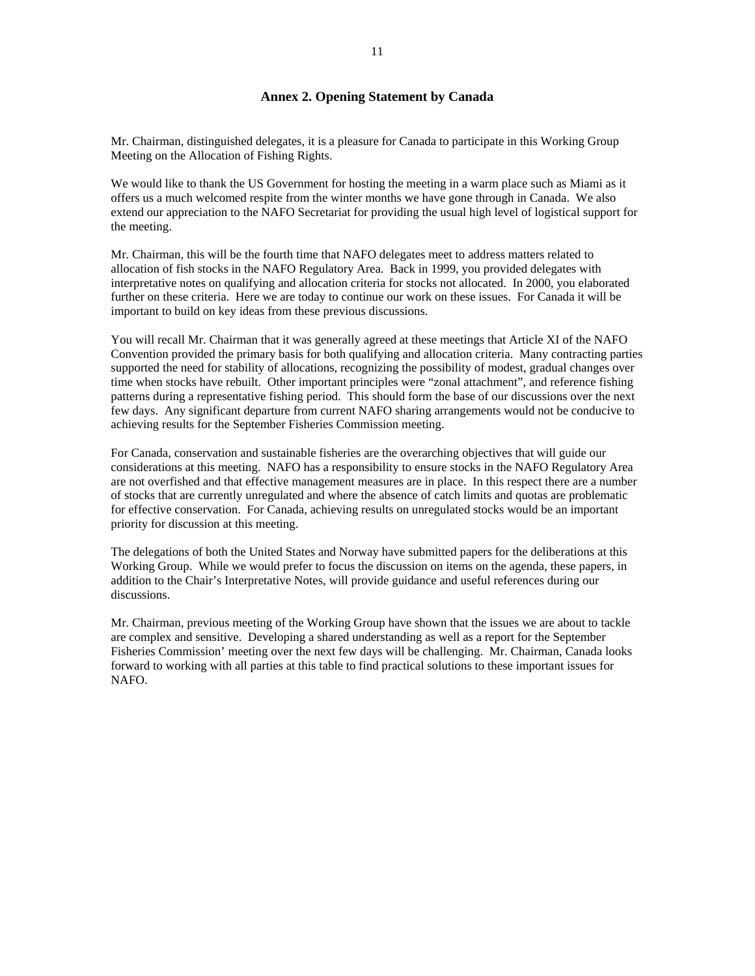## **Annex 2. Opening Statement by Canada**

Mr. Chairman, distinguished delegates, it is a pleasure for Canada to participate in this Working Group Meeting on the Allocation of Fishing Rights.

We would like to thank the US Government for hosting the meeting in a warm place such as Miami as it offers us a much welcomed respite from the winter months we have gone through in Canada. We also extend our appreciation to the NAFO Secretariat for providing the usual high level of logistical support for the meeting.

Mr. Chairman, this will be the fourth time that NAFO delegates meet to address matters related to allocation of fish stocks in the NAFO Regulatory Area. Back in 1999, you provided delegates with interpretative notes on qualifying and allocation criteria for stocks not allocated. In 2000, you elaborated further on these criteria. Here we are today to continue our work on these issues. For Canada it will be important to build on key ideas from these previous discussions.

You will recall Mr. Chairman that it was generally agreed at these meetings that Article XI of the NAFO Convention provided the primary basis for both qualifying and allocation criteria. Many contracting parties supported the need for stability of allocations, recognizing the possibility of modest, gradual changes over time when stocks have rebuilt. Other important principles were "zonal attachment", and reference fishing patterns during a representative fishing period. This should form the base of our discussions over the next few days. Any significant departure from current NAFO sharing arrangements would not be conducive to achieving results for the September Fisheries Commission meeting.

For Canada, conservation and sustainable fisheries are the overarching objectives that will guide our considerations at this meeting. NAFO has a responsibility to ensure stocks in the NAFO Regulatory Area are not overfished and that effective management measures are in place. In this respect there are a number of stocks that are currently unregulated and where the absence of catch limits and quotas are problematic for effective conservation. For Canada, achieving results on unregulated stocks would be an important priority for discussion at this meeting.

The delegations of both the United States and Norway have submitted papers for the deliberations at this Working Group. While we would prefer to focus the discussion on items on the agenda, these papers, in addition to the Chair's Interpretative Notes, will provide guidance and useful references during our discussions.

Mr. Chairman, previous meeting of the Working Group have shown that the issues we are about to tackle are complex and sensitive. Developing a shared understanding as well as a report for the September Fisheries Commission' meeting over the next few days will be challenging. Mr. Chairman, Canada looks forward to working with all parties at this table to find practical solutions to these important issues for NAFO.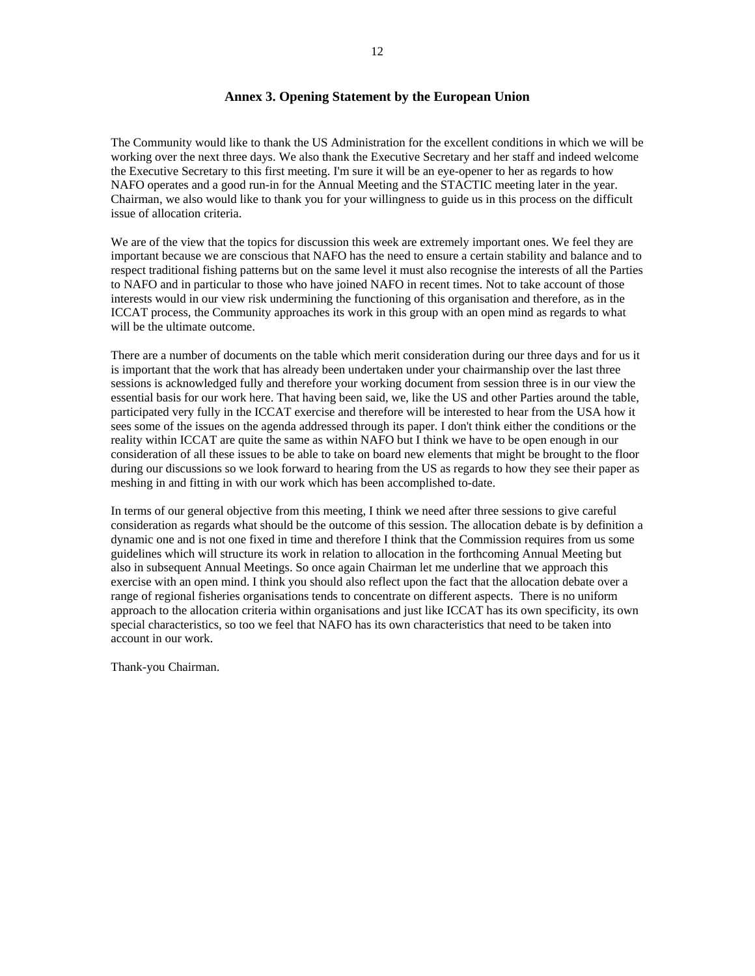## **Annex 3. Opening Statement by the European Union**

The Community would like to thank the US Administration for the excellent conditions in which we will be working over the next three days. We also thank the Executive Secretary and her staff and indeed welcome the Executive Secretary to this first meeting. I'm sure it will be an eye-opener to her as regards to how NAFO operates and a good run-in for the Annual Meeting and the STACTIC meeting later in the year. Chairman, we also would like to thank you for your willingness to guide us in this process on the difficult issue of allocation criteria.

We are of the view that the topics for discussion this week are extremely important ones. We feel they are important because we are conscious that NAFO has the need to ensure a certain stability and balance and to respect traditional fishing patterns but on the same level it must also recognise the interests of all the Parties to NAFO and in particular to those who have joined NAFO in recent times. Not to take account of those interests would in our view risk undermining the functioning of this organisation and therefore, as in the ICCAT process, the Community approaches its work in this group with an open mind as regards to what will be the ultimate outcome.

There are a number of documents on the table which merit consideration during our three days and for us it is important that the work that has already been undertaken under your chairmanship over the last three sessions is acknowledged fully and therefore your working document from session three is in our view the essential basis for our work here. That having been said, we, like the US and other Parties around the table, participated very fully in the ICCAT exercise and therefore will be interested to hear from the USA how it sees some of the issues on the agenda addressed through its paper. I don't think either the conditions or the reality within ICCAT are quite the same as within NAFO but I think we have to be open enough in our consideration of all these issues to be able to take on board new elements that might be brought to the floor during our discussions so we look forward to hearing from the US as regards to how they see their paper as meshing in and fitting in with our work which has been accomplished to-date.

In terms of our general objective from this meeting, I think we need after three sessions to give careful consideration as regards what should be the outcome of this session. The allocation debate is by definition a dynamic one and is not one fixed in time and therefore I think that the Commission requires from us some guidelines which will structure its work in relation to allocation in the forthcoming Annual Meeting but also in subsequent Annual Meetings. So once again Chairman let me underline that we approach this exercise with an open mind. I think you should also reflect upon the fact that the allocation debate over a range of regional fisheries organisations tends to concentrate on different aspects. There is no uniform approach to the allocation criteria within organisations and just like ICCAT has its own specificity, its own special characteristics, so too we feel that NAFO has its own characteristics that need to be taken into account in our work.

Thank-you Chairman.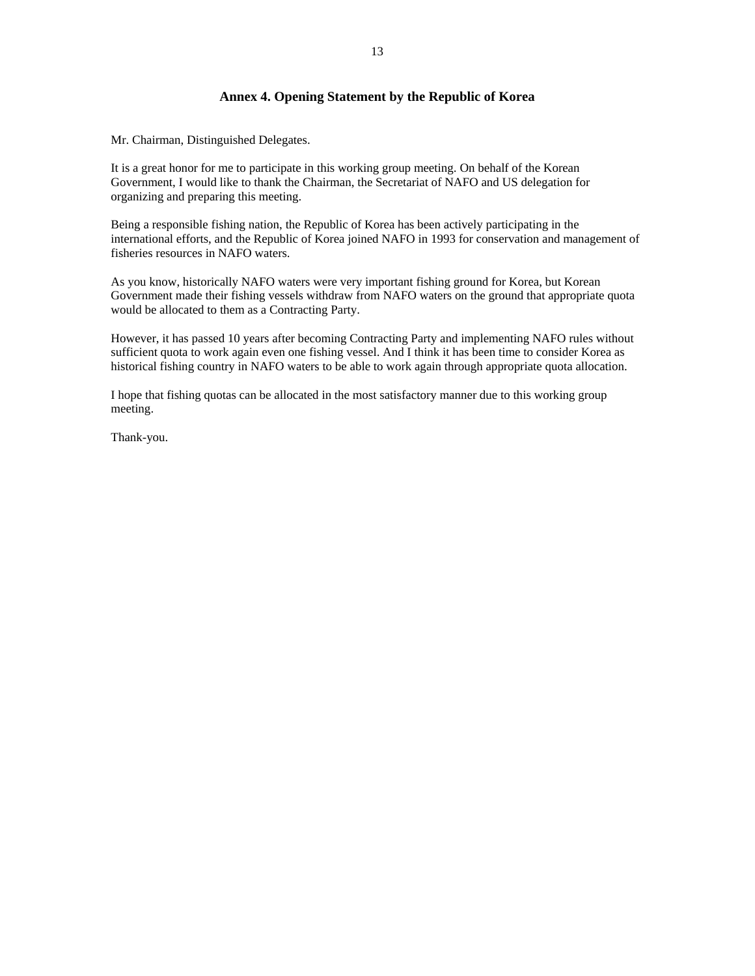## **Annex 4. Opening Statement by the Republic of Korea**

Mr. Chairman, Distinguished Delegates.

It is a great honor for me to participate in this working group meeting. On behalf of the Korean Government, I would like to thank the Chairman, the Secretariat of NAFO and US delegation for organizing and preparing this meeting.

Being a responsible fishing nation, the Republic of Korea has been actively participating in the international efforts, and the Republic of Korea joined NAFO in 1993 for conservation and management of fisheries resources in NAFO waters.

As you know, historically NAFO waters were very important fishing ground for Korea, but Korean Government made their fishing vessels withdraw from NAFO waters on the ground that appropriate quota would be allocated to them as a Contracting Party.

However, it has passed 10 years after becoming Contracting Party and implementing NAFO rules without sufficient quota to work again even one fishing vessel. And I think it has been time to consider Korea as historical fishing country in NAFO waters to be able to work again through appropriate quota allocation.

I hope that fishing quotas can be allocated in the most satisfactory manner due to this working group meeting.

Thank-you.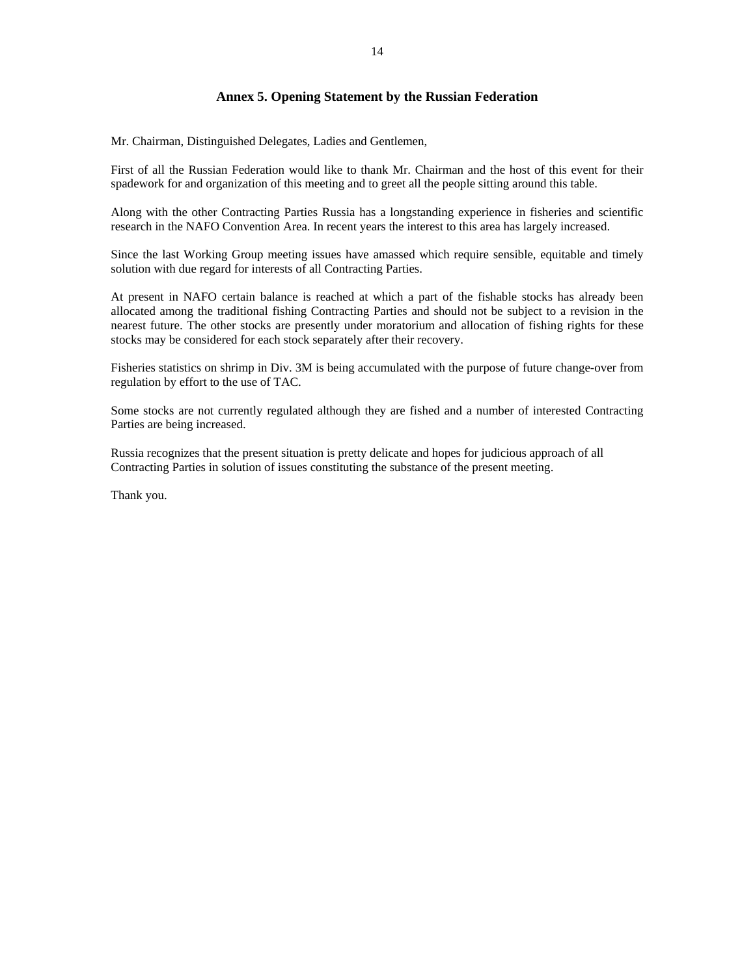## **Annex 5. Opening Statement by the Russian Federation**

Mr. Chairman, Distinguished Delegates, Ladies and Gentlemen,

First of all the Russian Federation would like to thank Mr. Chairman and the host of this event for their spadework for and organization of this meeting and to greet all the people sitting around this table.

Along with the other Contracting Parties Russia has a longstanding experience in fisheries and scientific research in the NAFO Convention Area. In recent years the interest to this area has largely increased.

Since the last Working Group meeting issues have amassed which require sensible, equitable and timely solution with due regard for interests of all Contracting Parties.

At present in NAFO certain balance is reached at which a part of the fishable stocks has already been allocated among the traditional fishing Contracting Parties and should not be subject to a revision in the nearest future. The other stocks are presently under moratorium and allocation of fishing rights for these stocks may be considered for each stock separately after their recovery.

Fisheries statistics on shrimp in Div. 3M is being accumulated with the purpose of future change-over from regulation by effort to the use of TAC.

Some stocks are not currently regulated although they are fished and a number of interested Contracting Parties are being increased.

Russia recognizes that the present situation is pretty delicate and hopes for judicious approach of all Contracting Parties in solution of issues constituting the substance of the present meeting.

Thank you.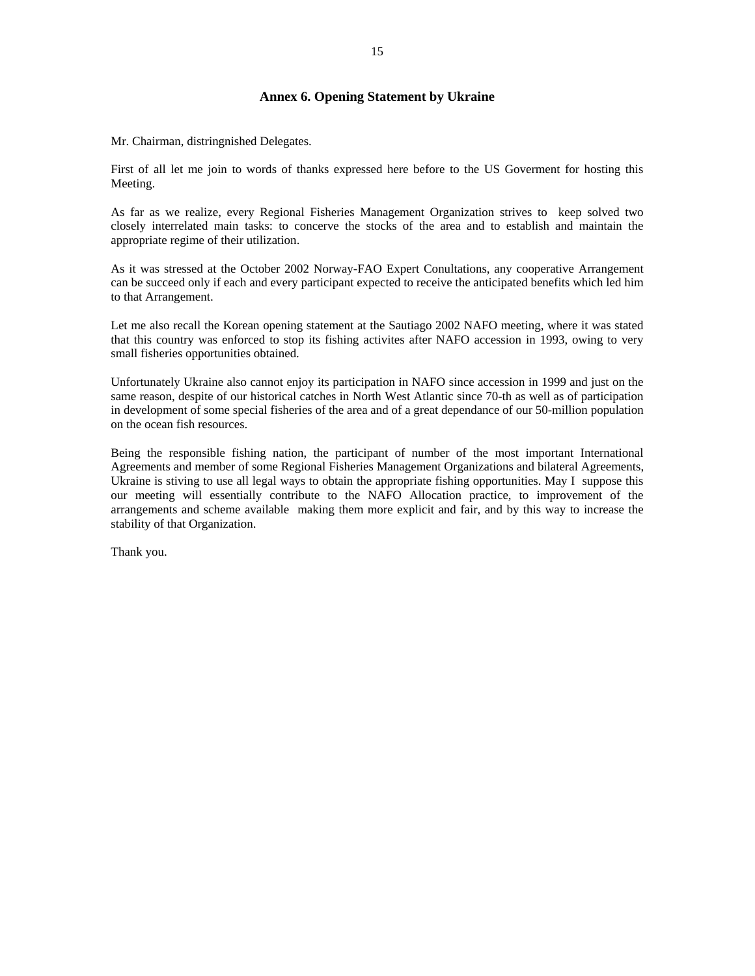## **Annex 6. Opening Statement by Ukraine**

Mr. Chairman, distringnished Delegates.

First of all let me join to words of thanks expressed here before to the US Goverment for hosting this Meeting.

As far as we realize, every Regional Fisheries Management Organization strives to keep solved two closely interrelated main tasks: to concerve the stocks of the area and to establish and maintain the appropriate regime of their utilization.

As it was stressed at the October 2002 Norway-FAO Expert Conultations, any cooperative Arrangement can be succeed only if each and every participant expected to receive the anticipated benefits which led him to that Arrangement.

Let me also recall the Korean opening statement at the Sautiago 2002 NAFO meeting, where it was stated that this country was enforced to stop its fishing activites after NAFO accession in 1993, owing to very small fisheries opportunities obtained.

Unfortunately Ukraine also cannot enjoy its participation in NAFO since accession in 1999 and just on the same reason, despite of our historical catches in North West Atlantic since 70-th as well as of participation in development of some special fisheries of the area and of a great dependance of our 50-million population on the ocean fish resources.

Being the responsible fishing nation, the participant of number of the most important International Agreements and member of some Regional Fisheries Management Organizations and bilateral Agreements, Ukraine is stiving to use all legal ways to obtain the appropriate fishing opportunities. May I suppose this our meeting will essentially contribute to the NAFO Allocation practice, to improvement of the arrangements and scheme available making them more explicit and fair, and by this way to increase the stability of that Organization.

Thank you.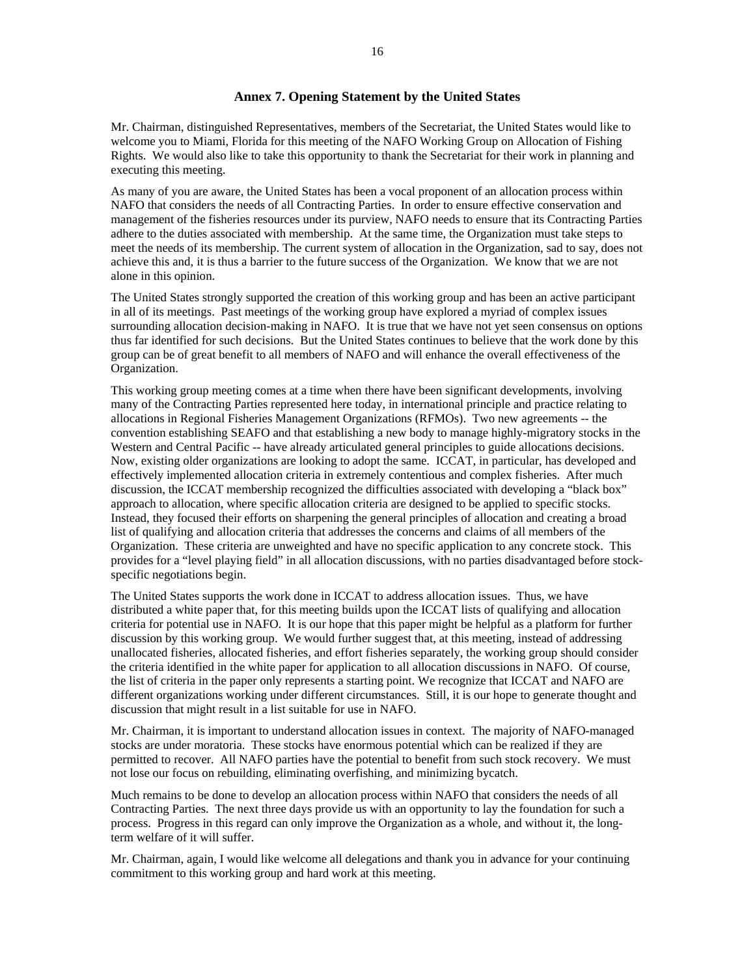## **Annex 7. Opening Statement by the United States**

Mr. Chairman, distinguished Representatives, members of the Secretariat, the United States would like to welcome you to Miami, Florida for this meeting of the NAFO Working Group on Allocation of Fishing Rights. We would also like to take this opportunity to thank the Secretariat for their work in planning and executing this meeting.

As many of you are aware, the United States has been a vocal proponent of an allocation process within NAFO that considers the needs of all Contracting Parties. In order to ensure effective conservation and management of the fisheries resources under its purview, NAFO needs to ensure that its Contracting Parties adhere to the duties associated with membership. At the same time, the Organization must take steps to meet the needs of its membership. The current system of allocation in the Organization, sad to say, does not achieve this and, it is thus a barrier to the future success of the Organization. We know that we are not alone in this opinion.

The United States strongly supported the creation of this working group and has been an active participant in all of its meetings. Past meetings of the working group have explored a myriad of complex issues surrounding allocation decision-making in NAFO. It is true that we have not yet seen consensus on options thus far identified for such decisions. But the United States continues to believe that the work done by this group can be of great benefit to all members of NAFO and will enhance the overall effectiveness of the Organization.

This working group meeting comes at a time when there have been significant developments, involving many of the Contracting Parties represented here today, in international principle and practice relating to allocations in Regional Fisheries Management Organizations (RFMOs). Two new agreements -- the convention establishing SEAFO and that establishing a new body to manage highly-migratory stocks in the Western and Central Pacific -- have already articulated general principles to guide allocations decisions. Now, existing older organizations are looking to adopt the same. ICCAT, in particular, has developed and effectively implemented allocation criteria in extremely contentious and complex fisheries. After much discussion, the ICCAT membership recognized the difficulties associated with developing a "black box" approach to allocation, where specific allocation criteria are designed to be applied to specific stocks. Instead, they focused their efforts on sharpening the general principles of allocation and creating a broad list of qualifying and allocation criteria that addresses the concerns and claims of all members of the Organization. These criteria are unweighted and have no specific application to any concrete stock. This provides for a "level playing field" in all allocation discussions, with no parties disadvantaged before stockspecific negotiations begin.

The United States supports the work done in ICCAT to address allocation issues. Thus, we have distributed a white paper that, for this meeting builds upon the ICCAT lists of qualifying and allocation criteria for potential use in NAFO. It is our hope that this paper might be helpful as a platform for further discussion by this working group. We would further suggest that, at this meeting, instead of addressing unallocated fisheries, allocated fisheries, and effort fisheries separately, the working group should consider the criteria identified in the white paper for application to all allocation discussions in NAFO. Of course, the list of criteria in the paper only represents a starting point. We recognize that ICCAT and NAFO are different organizations working under different circumstances. Still, it is our hope to generate thought and discussion that might result in a list suitable for use in NAFO.

Mr. Chairman, it is important to understand allocation issues in context. The majority of NAFO-managed stocks are under moratoria. These stocks have enormous potential which can be realized if they are permitted to recover. All NAFO parties have the potential to benefit from such stock recovery. We must not lose our focus on rebuilding, eliminating overfishing, and minimizing bycatch.

Much remains to be done to develop an allocation process within NAFO that considers the needs of all Contracting Parties. The next three days provide us with an opportunity to lay the foundation for such a process. Progress in this regard can only improve the Organization as a whole, and without it, the longterm welfare of it will suffer.

Mr. Chairman, again, I would like welcome all delegations and thank you in advance for your continuing commitment to this working group and hard work at this meeting.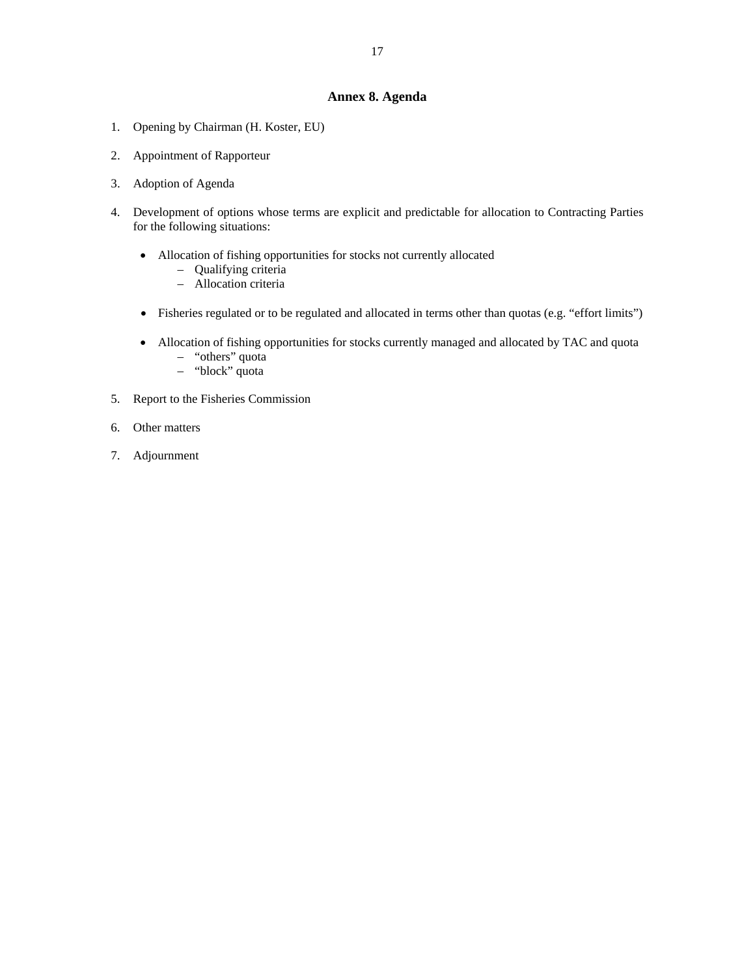## **Annex 8. Agenda**

- 1. Opening by Chairman (H. Koster, EU)
- 2. Appointment of Rapporteur
- 3. Adoption of Agenda
- 4. Development of options whose terms are explicit and predictable for allocation to Contracting Parties for the following situations:
	- Allocation of fishing opportunities for stocks not currently allocated
		- Qualifying criteria
		- Allocation criteria
	- Fisheries regulated or to be regulated and allocated in terms other than quotas (e.g. "effort limits")
	- Allocation of fishing opportunities for stocks currently managed and allocated by TAC and quota – "others" quota
		- "block" quota
- 5. Report to the Fisheries Commission
- 6. Other matters
- 7. Adjournment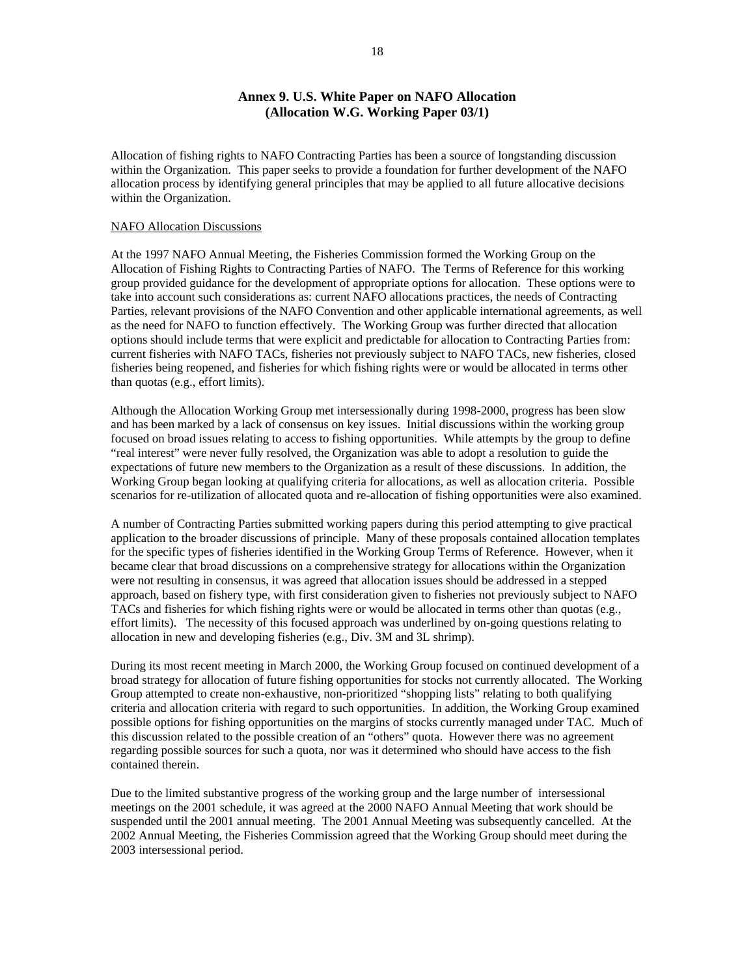## **Annex 9. U.S. White Paper on NAFO Allocation (Allocation W.G. Working Paper 03/1)**

Allocation of fishing rights to NAFO Contracting Parties has been a source of longstanding discussion within the Organization. This paper seeks to provide a foundation for further development of the NAFO allocation process by identifying general principles that may be applied to all future allocative decisions within the Organization.

### NAFO Allocation Discussions

At the 1997 NAFO Annual Meeting, the Fisheries Commission formed the Working Group on the Allocation of Fishing Rights to Contracting Parties of NAFO. The Terms of Reference for this working group provided guidance for the development of appropriate options for allocation. These options were to take into account such considerations as: current NAFO allocations practices, the needs of Contracting Parties, relevant provisions of the NAFO Convention and other applicable international agreements, as well as the need for NAFO to function effectively. The Working Group was further directed that allocation options should include terms that were explicit and predictable for allocation to Contracting Parties from: current fisheries with NAFO TACs, fisheries not previously subject to NAFO TACs, new fisheries, closed fisheries being reopened, and fisheries for which fishing rights were or would be allocated in terms other than quotas (e.g., effort limits).

Although the Allocation Working Group met intersessionally during 1998-2000, progress has been slow and has been marked by a lack of consensus on key issues. Initial discussions within the working group focused on broad issues relating to access to fishing opportunities. While attempts by the group to define "real interest" were never fully resolved, the Organization was able to adopt a resolution to guide the expectations of future new members to the Organization as a result of these discussions. In addition, the Working Group began looking at qualifying criteria for allocations, as well as allocation criteria. Possible scenarios for re-utilization of allocated quota and re-allocation of fishing opportunities were also examined.

A number of Contracting Parties submitted working papers during this period attempting to give practical application to the broader discussions of principle. Many of these proposals contained allocation templates for the specific types of fisheries identified in the Working Group Terms of Reference. However, when it became clear that broad discussions on a comprehensive strategy for allocations within the Organization were not resulting in consensus, it was agreed that allocation issues should be addressed in a stepped approach, based on fishery type, with first consideration given to fisheries not previously subject to NAFO TACs and fisheries for which fishing rights were or would be allocated in terms other than quotas (e.g., effort limits). The necessity of this focused approach was underlined by on-going questions relating to allocation in new and developing fisheries (e.g., Div. 3M and 3L shrimp).

During its most recent meeting in March 2000, the Working Group focused on continued development of a broad strategy for allocation of future fishing opportunities for stocks not currently allocated. The Working Group attempted to create non-exhaustive, non-prioritized "shopping lists" relating to both qualifying criteria and allocation criteria with regard to such opportunities. In addition, the Working Group examined possible options for fishing opportunities on the margins of stocks currently managed under TAC. Much of this discussion related to the possible creation of an "others" quota. However there was no agreement regarding possible sources for such a quota, nor was it determined who should have access to the fish contained therein.

Due to the limited substantive progress of the working group and the large number of intersessional meetings on the 2001 schedule, it was agreed at the 2000 NAFO Annual Meeting that work should be suspended until the 2001 annual meeting. The 2001 Annual Meeting was subsequently cancelled. At the 2002 Annual Meeting, the Fisheries Commission agreed that the Working Group should meet during the 2003 intersessional period.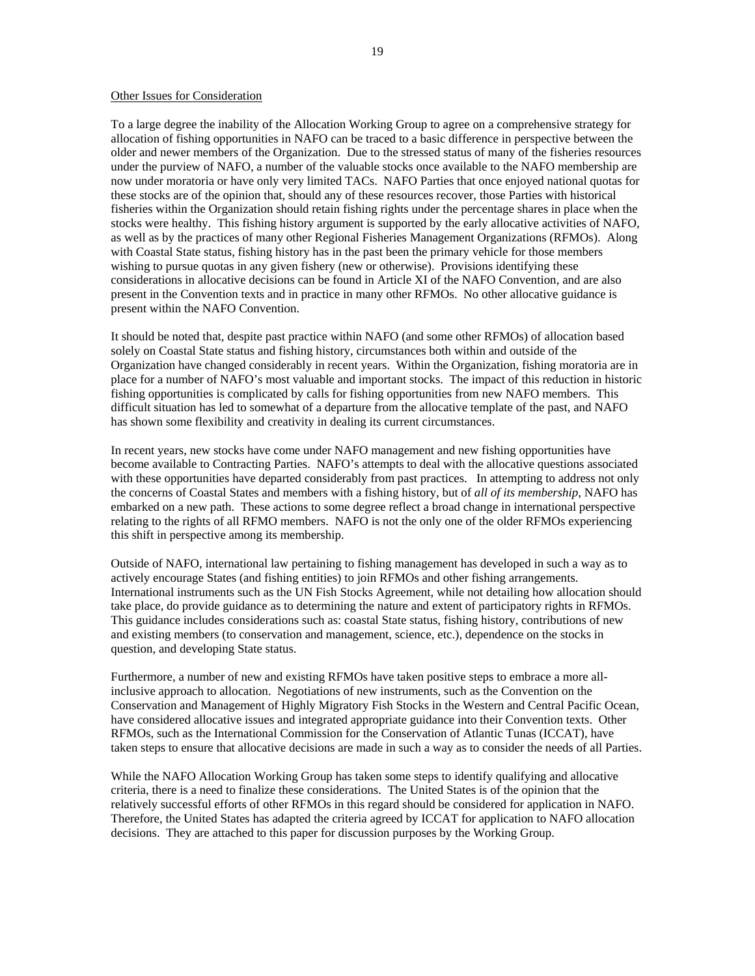#### Other Issues for Consideration

To a large degree the inability of the Allocation Working Group to agree on a comprehensive strategy for allocation of fishing opportunities in NAFO can be traced to a basic difference in perspective between the older and newer members of the Organization. Due to the stressed status of many of the fisheries resources under the purview of NAFO, a number of the valuable stocks once available to the NAFO membership are now under moratoria or have only very limited TACs. NAFO Parties that once enjoyed national quotas for these stocks are of the opinion that, should any of these resources recover, those Parties with historical fisheries within the Organization should retain fishing rights under the percentage shares in place when the stocks were healthy. This fishing history argument is supported by the early allocative activities of NAFO, as well as by the practices of many other Regional Fisheries Management Organizations (RFMOs). Along with Coastal State status, fishing history has in the past been the primary vehicle for those members wishing to pursue quotas in any given fishery (new or otherwise). Provisions identifying these considerations in allocative decisions can be found in Article XI of the NAFO Convention, and are also present in the Convention texts and in practice in many other RFMOs. No other allocative guidance is present within the NAFO Convention.

It should be noted that, despite past practice within NAFO (and some other RFMOs) of allocation based solely on Coastal State status and fishing history, circumstances both within and outside of the Organization have changed considerably in recent years. Within the Organization, fishing moratoria are in place for a number of NAFO's most valuable and important stocks. The impact of this reduction in historic fishing opportunities is complicated by calls for fishing opportunities from new NAFO members. This difficult situation has led to somewhat of a departure from the allocative template of the past, and NAFO has shown some flexibility and creativity in dealing its current circumstances.

In recent years, new stocks have come under NAFO management and new fishing opportunities have become available to Contracting Parties. NAFO's attempts to deal with the allocative questions associated with these opportunities have departed considerably from past practices. In attempting to address not only the concerns of Coastal States and members with a fishing history, but of *all of its membership*, NAFO has embarked on a new path. These actions to some degree reflect a broad change in international perspective relating to the rights of all RFMO members. NAFO is not the only one of the older RFMOs experiencing this shift in perspective among its membership.

Outside of NAFO, international law pertaining to fishing management has developed in such a way as to actively encourage States (and fishing entities) to join RFMOs and other fishing arrangements. International instruments such as the UN Fish Stocks Agreement, while not detailing how allocation should take place, do provide guidance as to determining the nature and extent of participatory rights in RFMOs. This guidance includes considerations such as: coastal State status, fishing history, contributions of new and existing members (to conservation and management, science, etc.), dependence on the stocks in question, and developing State status.

Furthermore, a number of new and existing RFMOs have taken positive steps to embrace a more allinclusive approach to allocation. Negotiations of new instruments, such as the Convention on the Conservation and Management of Highly Migratory Fish Stocks in the Western and Central Pacific Ocean, have considered allocative issues and integrated appropriate guidance into their Convention texts. Other RFMOs, such as the International Commission for the Conservation of Atlantic Tunas (ICCAT), have taken steps to ensure that allocative decisions are made in such a way as to consider the needs of all Parties.

While the NAFO Allocation Working Group has taken some steps to identify qualifying and allocative criteria, there is a need to finalize these considerations. The United States is of the opinion that the relatively successful efforts of other RFMOs in this regard should be considered for application in NAFO. Therefore, the United States has adapted the criteria agreed by ICCAT for application to NAFO allocation decisions. They are attached to this paper for discussion purposes by the Working Group.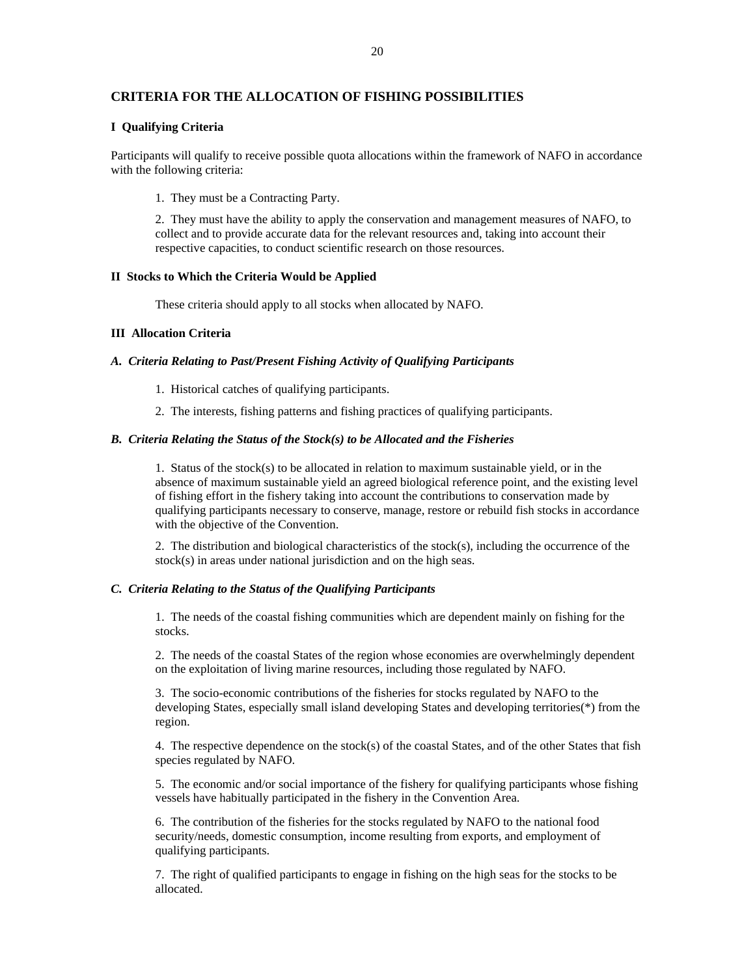# **CRITERIA FOR THE ALLOCATION OF FISHING POSSIBILITIES**

## **I Qualifying Criteria**

Participants will qualify to receive possible quota allocations within the framework of NAFO in accordance with the following criteria:

1. They must be a Contracting Party.

2. They must have the ability to apply the conservation and management measures of NAFO, to collect and to provide accurate data for the relevant resources and, taking into account their respective capacities, to conduct scientific research on those resources.

#### **II Stocks to Which the Criteria Would be Applied**

These criteria should apply to all stocks when allocated by NAFO.

## **III Allocation Criteria**

#### *A. Criteria Relating to Past/Present Fishing Activity of Qualifying Participants*

- 1. Historical catches of qualifying participants.
- 2. The interests, fishing patterns and fishing practices of qualifying participants.

## *B. Criteria Relating the Status of the Stock(s) to be Allocated and the Fisheries*

1. Status of the stock(s) to be allocated in relation to maximum sustainable yield, or in the absence of maximum sustainable yield an agreed biological reference point, and the existing level of fishing effort in the fishery taking into account the contributions to conservation made by qualifying participants necessary to conserve, manage, restore or rebuild fish stocks in accordance with the objective of the Convention.

2. The distribution and biological characteristics of the stock(s), including the occurrence of the stock(s) in areas under national jurisdiction and on the high seas.

## *C. Criteria Relating to the Status of the Qualifying Participants*

1. The needs of the coastal fishing communities which are dependent mainly on fishing for the stocks.

2. The needs of the coastal States of the region whose economies are overwhelmingly dependent on the exploitation of living marine resources, including those regulated by NAFO.

3. The socio-economic contributions of the fisheries for stocks regulated by NAFO to the developing States, especially small island developing States and developing territories(\*) from the region.

4. The respective dependence on the stock(s) of the coastal States, and of the other States that fish species regulated by NAFO.

5. The economic and/or social importance of the fishery for qualifying participants whose fishing vessels have habitually participated in the fishery in the Convention Area.

6. The contribution of the fisheries for the stocks regulated by NAFO to the national food security/needs, domestic consumption, income resulting from exports, and employment of qualifying participants.

7. The right of qualified participants to engage in fishing on the high seas for the stocks to be allocated.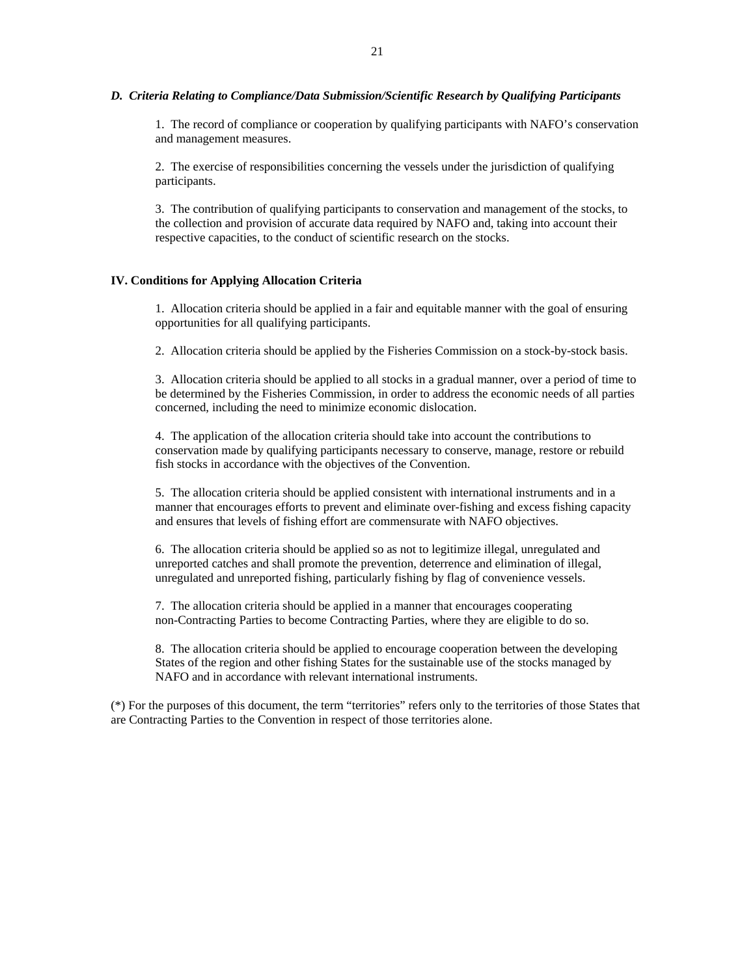## *D. Criteria Relating to Compliance/Data Submission/Scientific Research by Qualifying Participants*

1. The record of compliance or cooperation by qualifying participants with NAFO's conservation and management measures.

2. The exercise of responsibilities concerning the vessels under the jurisdiction of qualifying participants.

3. The contribution of qualifying participants to conservation and management of the stocks, to the collection and provision of accurate data required by NAFO and, taking into account their respective capacities, to the conduct of scientific research on the stocks.

## **IV. Conditions for Applying Allocation Criteria**

1. Allocation criteria should be applied in a fair and equitable manner with the goal of ensuring opportunities for all qualifying participants.

2. Allocation criteria should be applied by the Fisheries Commission on a stock-by-stock basis.

3. Allocation criteria should be applied to all stocks in a gradual manner, over a period of time to be determined by the Fisheries Commission, in order to address the economic needs of all parties concerned, including the need to minimize economic dislocation.

4. The application of the allocation criteria should take into account the contributions to conservation made by qualifying participants necessary to conserve, manage, restore or rebuild fish stocks in accordance with the objectives of the Convention.

5. The allocation criteria should be applied consistent with international instruments and in a manner that encourages efforts to prevent and eliminate over-fishing and excess fishing capacity and ensures that levels of fishing effort are commensurate with NAFO objectives.

6. The allocation criteria should be applied so as not to legitimize illegal, unregulated and unreported catches and shall promote the prevention, deterrence and elimination of illegal, unregulated and unreported fishing, particularly fishing by flag of convenience vessels.

7. The allocation criteria should be applied in a manner that encourages cooperating non-Contracting Parties to become Contracting Parties, where they are eligible to do so.

8. The allocation criteria should be applied to encourage cooperation between the developing States of the region and other fishing States for the sustainable use of the stocks managed by NAFO and in accordance with relevant international instruments.

(\*) For the purposes of this document, the term "territories" refers only to the territories of those States that are Contracting Parties to the Convention in respect of those territories alone.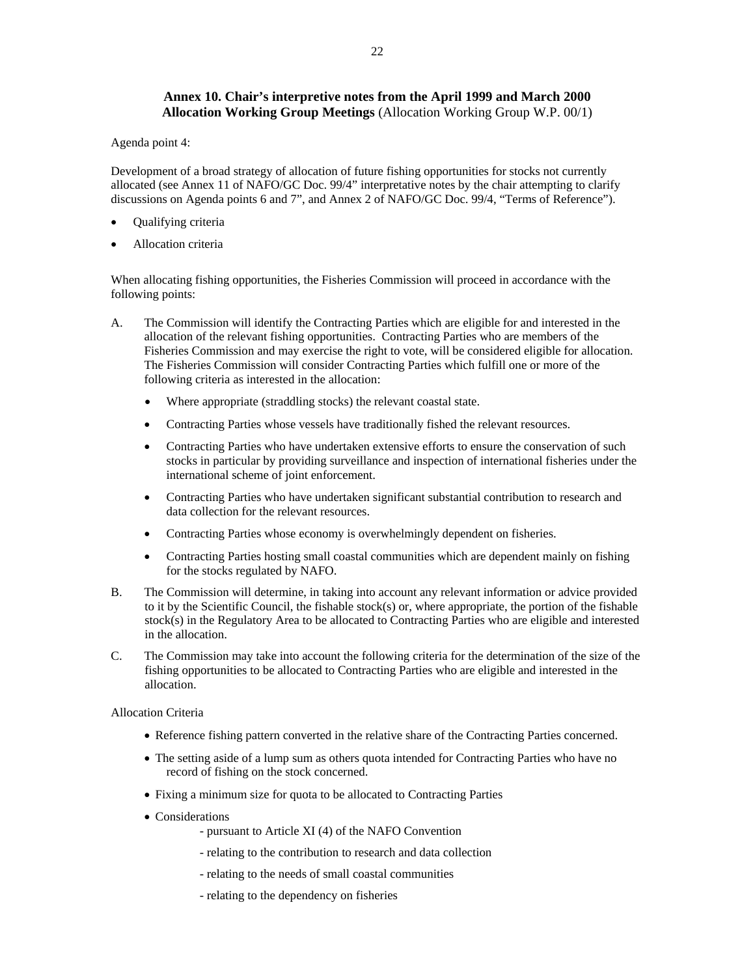# **Annex 10. Chair's interpretive notes from the April 1999 and March 2000 Allocation Working Group Meetings** (Allocation Working Group W.P. 00/1)

Agenda point 4:

Development of a broad strategy of allocation of future fishing opportunities for stocks not currently allocated (see Annex 11 of NAFO/GC Doc. 99/4" interpretative notes by the chair attempting to clarify discussions on Agenda points 6 and 7", and Annex 2 of NAFO/GC Doc. 99/4, "Terms of Reference").

- Qualifying criteria
- Allocation criteria

When allocating fishing opportunities, the Fisheries Commission will proceed in accordance with the following points:

- A. The Commission will identify the Contracting Parties which are eligible for and interested in the allocation of the relevant fishing opportunities. Contracting Parties who are members of the Fisheries Commission and may exercise the right to vote, will be considered eligible for allocation. The Fisheries Commission will consider Contracting Parties which fulfill one or more of the following criteria as interested in the allocation:
	- Where appropriate (straddling stocks) the relevant coastal state.
	- Contracting Parties whose vessels have traditionally fished the relevant resources.
	- Contracting Parties who have undertaken extensive efforts to ensure the conservation of such stocks in particular by providing surveillance and inspection of international fisheries under the international scheme of joint enforcement.
	- Contracting Parties who have undertaken significant substantial contribution to research and data collection for the relevant resources.
	- Contracting Parties whose economy is overwhelmingly dependent on fisheries.
	- Contracting Parties hosting small coastal communities which are dependent mainly on fishing for the stocks regulated by NAFO.
- B. The Commission will determine, in taking into account any relevant information or advice provided to it by the Scientific Council, the fishable stock(s) or, where appropriate, the portion of the fishable stock(s) in the Regulatory Area to be allocated to Contracting Parties who are eligible and interested in the allocation.
- C. The Commission may take into account the following criteria for the determination of the size of the fishing opportunities to be allocated to Contracting Parties who are eligible and interested in the allocation.

Allocation Criteria

- Reference fishing pattern converted in the relative share of the Contracting Parties concerned.
- The setting aside of a lump sum as others quota intended for Contracting Parties who have no record of fishing on the stock concerned.
- Fixing a minimum size for quota to be allocated to Contracting Parties
- Considerations
	- pursuant to Article XI (4) of the NAFO Convention
	- relating to the contribution to research and data collection
	- relating to the needs of small coastal communities
	- relating to the dependency on fisheries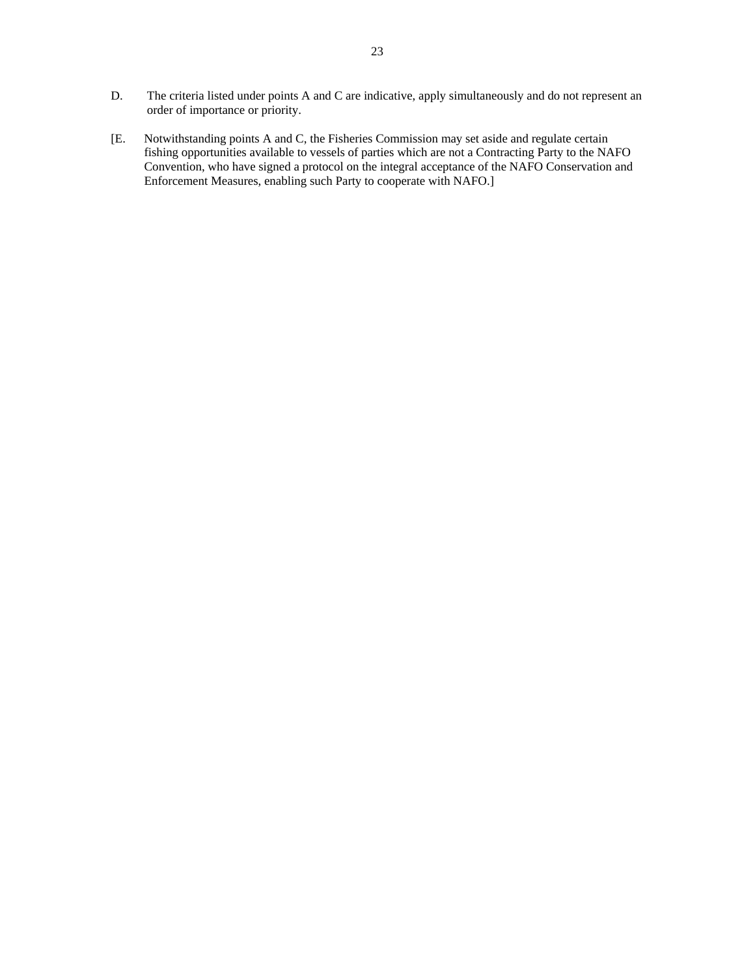- D. The criteria listed under points A and C are indicative, apply simultaneously and do not represent an order of importance or priority.
- [E. Notwithstanding points A and C, the Fisheries Commission may set aside and regulate certain fishing opportunities available to vessels of parties which are not a Contracting Party to the NAFO Convention, who have signed a protocol on the integral acceptance of the NAFO Conservation and Enforcement Measures, enabling such Party to cooperate with NAFO.]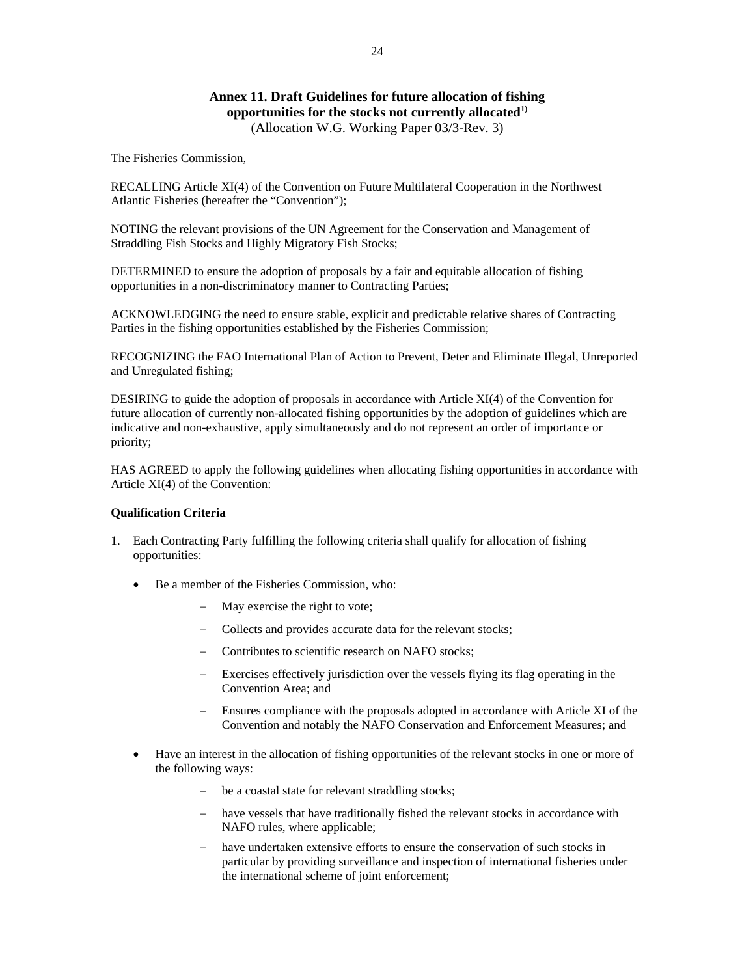## **Annex 11. Draft Guidelines for future allocation of fishing opportunities for the stocks not currently allocated1)** (Allocation W.G. Working Paper 03/3-Rev. 3)

The Fisheries Commission,

RECALLING Article XI(4) of the Convention on Future Multilateral Cooperation in the Northwest Atlantic Fisheries (hereafter the "Convention");

NOTING the relevant provisions of the UN Agreement for the Conservation and Management of Straddling Fish Stocks and Highly Migratory Fish Stocks;

DETERMINED to ensure the adoption of proposals by a fair and equitable allocation of fishing opportunities in a non-discriminatory manner to Contracting Parties;

ACKNOWLEDGING the need to ensure stable, explicit and predictable relative shares of Contracting Parties in the fishing opportunities established by the Fisheries Commission;

RECOGNIZING the FAO International Plan of Action to Prevent, Deter and Eliminate Illegal, Unreported and Unregulated fishing;

DESIRING to guide the adoption of proposals in accordance with Article XI(4) of the Convention for future allocation of currently non-allocated fishing opportunities by the adoption of guidelines which are indicative and non-exhaustive, apply simultaneously and do not represent an order of importance or priority;

HAS AGREED to apply the following guidelines when allocating fishing opportunities in accordance with Article XI(4) of the Convention:

## **Qualification Criteria**

- 1. Each Contracting Party fulfilling the following criteria shall qualify for allocation of fishing opportunities:
	- Be a member of the Fisheries Commission, who:
		- May exercise the right to vote;
		- − Collects and provides accurate data for the relevant stocks;
		- − Contributes to scientific research on NAFO stocks;
		- − Exercises effectively jurisdiction over the vessels flying its flag operating in the Convention Area; and
		- Ensures compliance with the proposals adopted in accordance with Article XI of the Convention and notably the NAFO Conservation and Enforcement Measures; and
	- Have an interest in the allocation of fishing opportunities of the relevant stocks in one or more of the following ways:
		- − be a coastal state for relevant straddling stocks;
		- − have vessels that have traditionally fished the relevant stocks in accordance with NAFO rules, where applicable;
		- have undertaken extensive efforts to ensure the conservation of such stocks in particular by providing surveillance and inspection of international fisheries under the international scheme of joint enforcement;